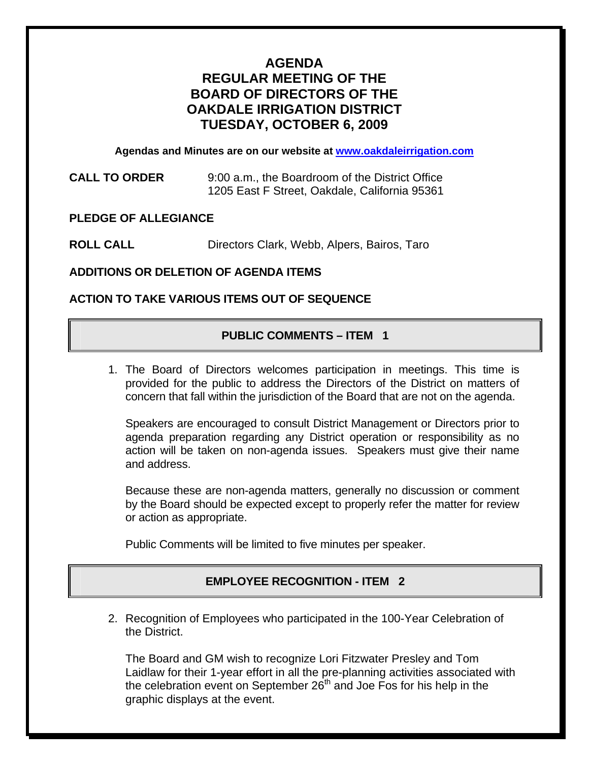# **AGENDA REGULAR MEETING OF THE BOARD OF DIRECTORS OF THE OAKDALE IRRIGATION DISTRICT TUESDAY, OCTOBER 6, 2009**

**Agendas and Minutes are on our website at [www.oakdaleirrigation.com](http://www.oakdaleirrigation.com/)**

| <b>CALL TO ORDER</b> | 9:00 a.m., the Boardroom of the District Office |
|----------------------|-------------------------------------------------|
|                      | 1205 East F Street, Oakdale, California 95361   |

## **PLEDGE OF ALLEGIANCE**

**ROLL CALL** Directors Clark, Webb, Alpers, Bairos, Taro

### **ADDITIONS OR DELETION OF AGENDA ITEMS**

## **ACTION TO TAKE VARIOUS ITEMS OUT OF SEQUENCE**

### **PUBLIC COMMENTS – ITEM 1**

1. The Board of Directors welcomes participation in meetings. This time is provided for the public to address the Directors of the District on matters of concern that fall within the jurisdiction of the Board that are not on the agenda.

Speakers are encouraged to consult District Management or Directors prior to agenda preparation regarding any District operation or responsibility as no action will be taken on non-agenda issues. Speakers must give their name and address.

Because these are non-agenda matters, generally no discussion or comment by the Board should be expected except to properly refer the matter for review or action as appropriate.

Public Comments will be limited to five minutes per speaker.

## **EMPLOYEE RECOGNITION - ITEM 2**

2. Recognition of Employees who participated in the 100-Year Celebration of the District.

The Board and GM wish to recognize Lori Fitzwater Presley and Tom Laidlaw for their 1-year effort in all the pre-planning activities associated with the celebration event on September  $26<sup>th</sup>$  and Joe Fos for his help in the graphic displays at the event.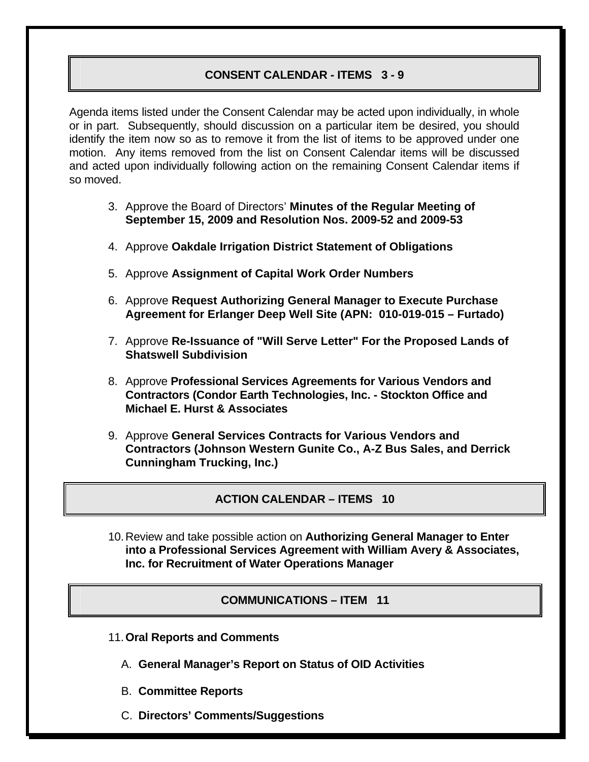## **CONSENT CALENDAR - ITEMS 3 - 9**

Agenda items listed under the Consent Calendar may be acted upon individually, in whole or in part. Subsequently, should discussion on a particular item be desired, you should identify the item now so as to remove it from the list of items to be approved under one motion. Any items removed from the list on Consent Calendar items will be discussed and acted upon individually following action on the remaining Consent Calendar items if so moved.

- 3. Approve the Board of Directors' **Minutes of the Regular Meeting of September 15, 2009 and Resolution Nos. 2009-52 and 2009-53**
- 4. Approve **Oakdale Irrigation District Statement of Obligations**
- 5. Approve **Assignment of Capital Work Order Numbers**
- 6. Approve **Request Authorizing General Manager to Execute Purchase Agreement for Erlanger Deep Well Site (APN: 010-019-015 – Furtado)**
- 7. Approve **Re-Issuance of "Will Serve Letter" For the Proposed Lands of Shatswell Subdivision**
- 8. Approve **Professional Services Agreements for Various Vendors and Contractors (Condor Earth Technologies, Inc. - Stockton Office and Michael E. Hurst & Associates**
- 9. Approve **General Services Contracts for Various Vendors and Contractors (Johnson Western Gunite Co., A-Z Bus Sales, and Derrick Cunningham Trucking, Inc.)**

**ACTION CALENDAR – ITEMS 10** 

10. Review and take possible action on **Authorizing General Manager to Enter into a Professional Services Agreement with William Avery & Associates, Inc. for Recruitment of Water Operations Manager** 

#### **COMMUNICATIONS – ITEM 11**

- 11.**Oral Reports and Comments**
	- A. **General Manager's Report on Status of OID Activities**
	- B. **Committee Reports**
	- C. **Directors' Comments/Suggestions**